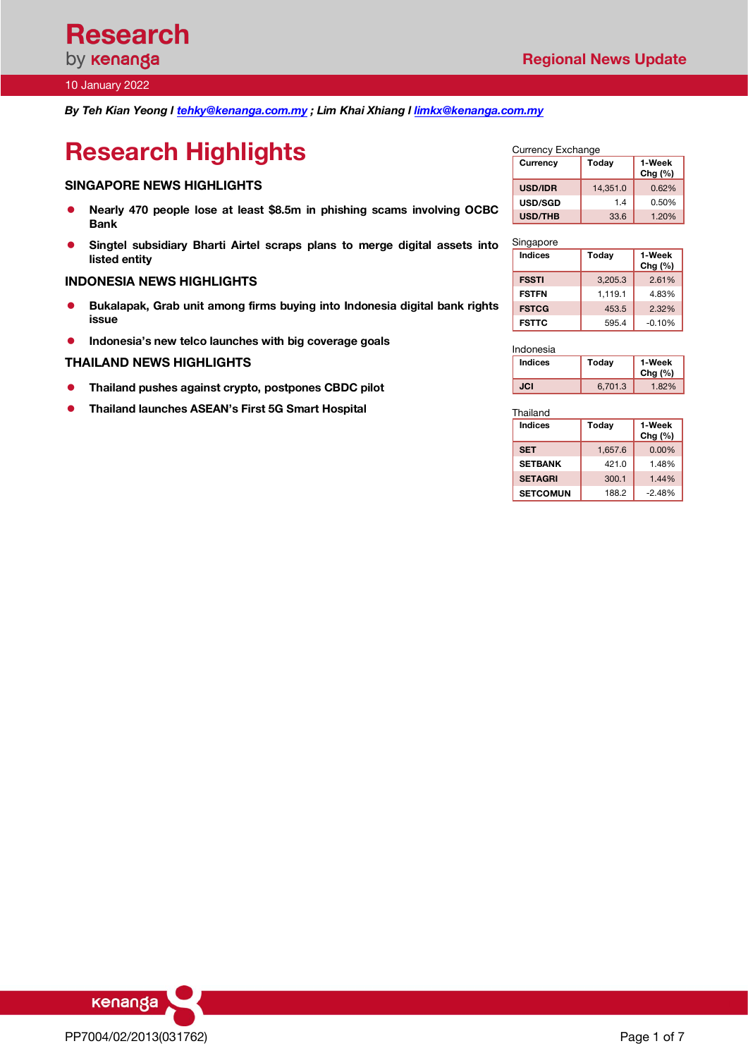*By Teh Kian Yeong l tehky@kenanga.com.my ; Lim Khai Xhiang l limkx@kenanga.com.my*

# **Research Highlights**

### **SINGAPORE NEWS HIGHLIGHTS**

- l **Nearly 470 people lose at least \$8.5m in phishing scams involving OCBC Bank**
- l **Singtel subsidiary Bharti Airtel scraps plans to merge digital assets into listed entity**

### **INDONESIA NEWS HIGHLIGHTS**

- l **Bukalapak, Grab unit among firms buying into Indonesia digital bank rights issue**
- **•** Indonesia's new telco launches with big coverage goals

### **THAILAND NEWS HIGHLIGHTS**

- l **Thailand pushes against crypto, postpones CBDC pilot**
- **Thailand launches ASEAN's First 5G Smart Hospital**

| Currency Exchange |          |                      |  |  |  |  |  |
|-------------------|----------|----------------------|--|--|--|--|--|
| Currency          | Today    | 1-Week<br>Chg $(\%)$ |  |  |  |  |  |
| <b>USD/IDR</b>    | 14,351.0 | 0.62%                |  |  |  |  |  |
| <b>USD/SGD</b>    | 14       | 0.50%                |  |  |  |  |  |
| <b>USD/THB</b>    | 33.6     | 1.20%                |  |  |  |  |  |

| Singapore      |         |                     |
|----------------|---------|---------------------|
| <b>Indices</b> | Today   | 1-Week<br>$Chg(\%)$ |
| <b>FSSTI</b>   | 3,205.3 | 2.61%               |
| <b>FSTFN</b>   | 1.119.1 | 4.83%               |
| <b>FSTCG</b>   | 453.5   | 2.32%               |
| <b>FSTTC</b>   | 595.4   | $-0.10%$            |

| Indonesia |         |                     |
|-----------|---------|---------------------|
| Indices   | Today   | 1-Week<br>Chg $(%)$ |
| JCI       | 6,701.3 | 1.82%               |

Thailand

| <b>Indices</b>  | Today   | 1-Week<br>Chg $(\%)$ |  |  |  |  |
|-----------------|---------|----------------------|--|--|--|--|
| <b>SET</b>      | 1,657.6 | $0.00\%$             |  |  |  |  |
| <b>SETBANK</b>  | 421.0   | 1.48%                |  |  |  |  |
| <b>SETAGRI</b>  | 300.1   | 1.44%                |  |  |  |  |
| <b>SETCOMUN</b> | 188.2   | $-2.48%$             |  |  |  |  |

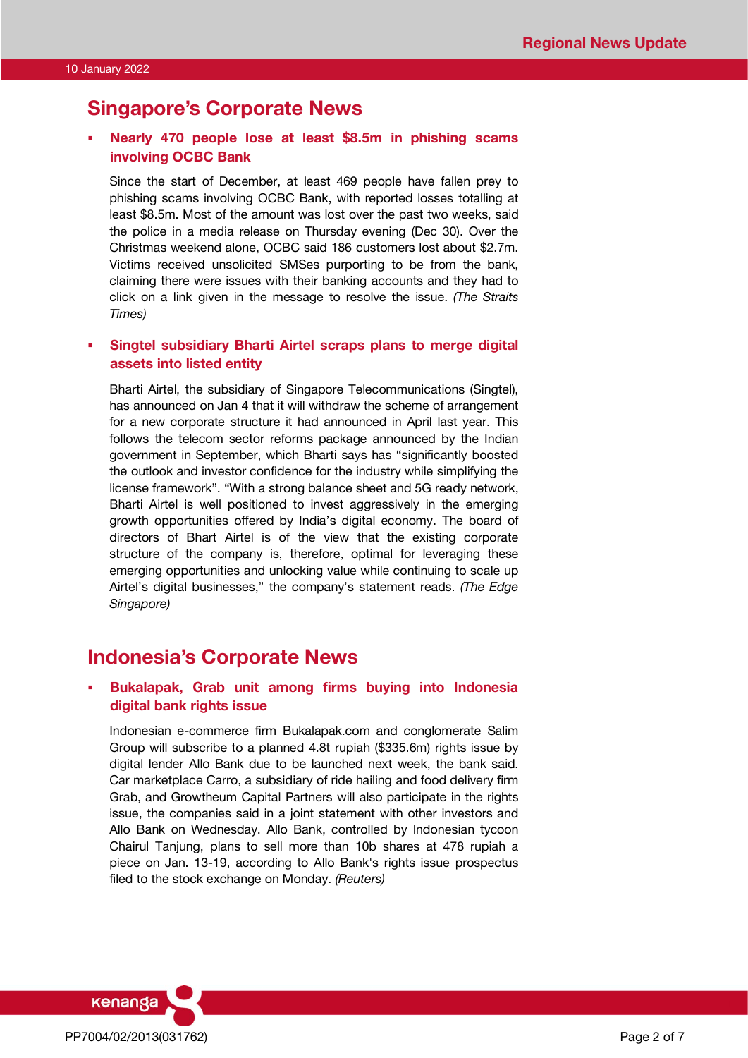# **Singapore's Corporate News**

# § **Nearly 470 people lose at least \$8.5m in phishing scams involving OCBC Bank**

Since the start of December, at least 469 people have fallen prey to phishing scams involving OCBC Bank, with reported losses totalling at least \$8.5m. Most of the amount was lost over the past two weeks, said the police in a media release on Thursday evening (Dec 30). Over the Christmas weekend alone, OCBC said 186 customers lost about \$2.7m. Victims received unsolicited SMSes purporting to be from the bank, claiming there were issues with their banking accounts and they had to click on a link given in the message to resolve the issue. *(The Straits Times)*

# § **Singtel subsidiary Bharti Airtel scraps plans to merge digital assets into listed entity**

Bharti Airtel, the subsidiary of Singapore Telecommunications (Singtel), has announced on Jan 4 that it will withdraw the scheme of arrangement for a new corporate structure it had announced in April last year. This follows the telecom sector reforms package announced by the Indian government in September, which Bharti says has "significantly boosted the outlook and investor confidence for the industry while simplifying the license framework". "With a strong balance sheet and 5G ready network, Bharti Airtel is well positioned to invest aggressively in the emerging growth opportunities offered by India's digital economy. The board of directors of Bhart Airtel is of the view that the existing corporate structure of the company is, therefore, optimal for leveraging these emerging opportunities and unlocking value while continuing to scale up Airtel's digital businesses," the company's statement reads. *(The Edge Singapore)*

# **Indonesia's Corporate News**

## § **Bukalapak, Grab unit among firms buying into Indonesia digital bank rights issue**

Indonesian e-commerce firm Bukalapak.com and conglomerate Salim Group will subscribe to a planned 4.8t rupiah (\$335.6m) rights issue by digital lender Allo Bank due to be launched next week, the bank said. Car marketplace Carro, a subsidiary of ride hailing and food delivery firm Grab, and Growtheum Capital Partners will also participate in the rights issue, the companies said in a joint statement with other investors and Allo Bank on Wednesday. Allo Bank, controlled by Indonesian tycoon Chairul Tanjung, plans to sell more than 10b shares at 478 rupiah a piece on Jan. 13-19, according to Allo Bank's rights issue prospectus filed to the stock exchange on Monday. *(Reuters)*

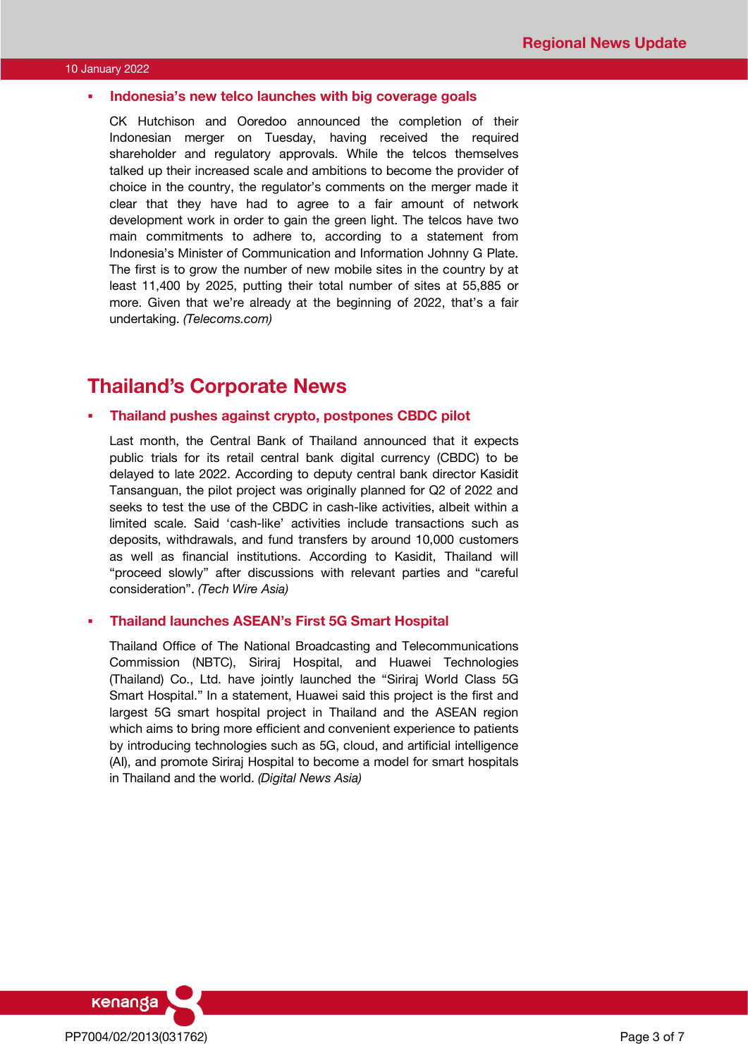### § **Indonesia's new telco launches with big coverage goals**

CK Hutchison and Ooredoo announced the completion of their Indonesian merger on Tuesday, having received the required shareholder and regulatory approvals. While the telcos themselves talked up their increased scale and ambitions to become the provider of choice in the country, the regulator's comments on the merger made it clear that they have had to agree to a fair amount of network development work in order to gain the green light. The telcos have two main commitments to adhere to, according to a statement from Indonesia's Minister of Communication and Information Johnny G Plate. The first is to grow the number of new mobile sites in the country by at least 11,400 by 2025, putting their total number of sites at 55,885 or more. Given that we're already at the beginning of 2022, that's a fair undertaking. *(Telecoms.com)*

# **Thailand's Corporate News**

### § **Thailand pushes against crypto, postpones CBDC pilot**

Last month, the Central Bank of Thailand announced that it expects public trials for its retail central bank digital currency (CBDC) to be delayed to late 2022. According to deputy central bank director Kasidit Tansanguan, the pilot project was originally planned for Q2 of 2022 and seeks to test the use of the CBDC in cash-like activities, albeit within a limited scale. Said 'cash-like' activities include transactions such as deposits, withdrawals, and fund transfers by around 10,000 customers as well as financial institutions. According to Kasidit, Thailand will "proceed slowly" after discussions with relevant parties and "careful consideration". *(Tech Wire Asia)*

### § **Thailand launches ASEAN's First 5G Smart Hospital**

Thailand Office of The National Broadcasting and Telecommunications Commission (NBTC), Siriraj Hospital, and Huawei Technologies (Thailand) Co., Ltd. have jointly launched the "Siriraj World Class 5G Smart Hospital." In a statement, Huawei said this project is the first and largest 5G smart hospital project in Thailand and the ASEAN region which aims to bring more efficient and convenient experience to patients by introducing technologies such as 5G, cloud, and artificial intelligence (AI), and promote Siriraj Hospital to become a model for smart hospitals in Thailand and the world. *(Digital News Asia)*

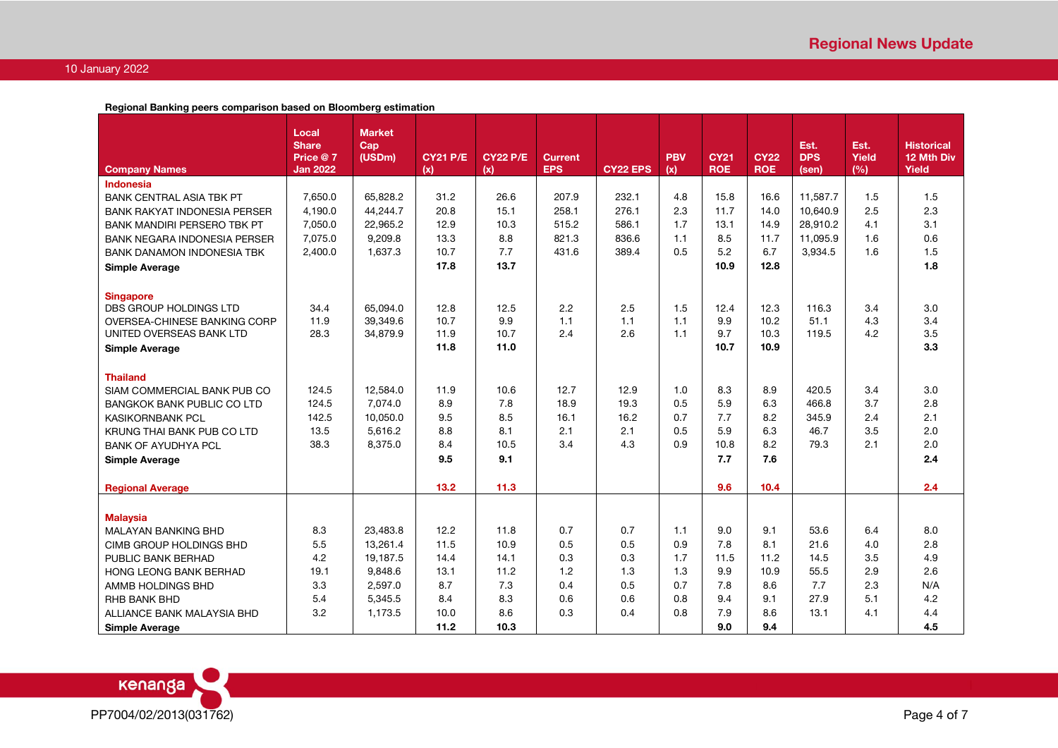**Regional Banking peers comparison based on Bloomberg estimation**

|                                                     | Local<br><b>Share</b> | <b>Market</b><br>Cap |                 |                 |                              |                 |            |             |             | Est.       | Est.  | <b>Historical</b> |
|-----------------------------------------------------|-----------------------|----------------------|-----------------|-----------------|------------------------------|-----------------|------------|-------------|-------------|------------|-------|-------------------|
|                                                     | Price @ 7             | (USDm)               | <b>CY21 P/E</b> | <b>CY22 P/E</b> | <b>Current</b><br><b>EPS</b> |                 | <b>PBV</b> | <b>CY21</b> | <b>CY22</b> | <b>DPS</b> | Yield | 12 Mth Div        |
| <b>Company Names</b>                                | <b>Jan 2022</b>       |                      | (x)             | (x)             |                              | <b>CY22 EPS</b> | (x)        | <b>ROE</b>  | <b>ROE</b>  | (sen)      | (%)   | Yield             |
| <b>Indonesia</b><br><b>BANK CENTRAL ASIA TBK PT</b> | 7,650.0               | 65,828.2             | 31.2            | 26.6            | 207.9                        | 232.1           | 4.8        | 15.8        | 16.6        | 11,587.7   | 1.5   | 1.5               |
| <b>BANK RAKYAT INDONESIA PERSER</b>                 | 4,190.0               | 44,244.7             | 20.8            | 15.1            | 258.1                        | 276.1           | 2.3        | 11.7        | 14.0        | 10,640.9   | 2.5   | 2.3               |
| <b>BANK MANDIRI PERSERO TBK PT</b>                  | 7,050.0               | 22,965.2             | 12.9            | 10.3            | 515.2                        | 586.1           | 1.7        | 13.1        | 14.9        | 28.910.2   | 4.1   | 3.1               |
| <b>BANK NEGARA INDONESIA PERSER</b>                 | 7,075.0               | 9,209.8              | 13.3            | 8.8             | 821.3                        | 836.6           | 1.1        | 8.5         | 11.7        | 11,095.9   | 1.6   | 0.6               |
| <b>BANK DANAMON INDONESIA TBK</b>                   | 2,400.0               | 1,637.3              | 10.7            | 7.7             | 431.6                        | 389.4           | 0.5        | 5.2         | 6.7         | 3.934.5    | 1.6   | 1.5               |
|                                                     |                       |                      | 17.8            | 13.7            |                              |                 |            | 10.9        | 12.8        |            |       | 1.8               |
| <b>Simple Average</b>                               |                       |                      |                 |                 |                              |                 |            |             |             |            |       |                   |
|                                                     |                       |                      |                 |                 |                              |                 |            |             |             |            |       |                   |
| <b>Singapore</b><br>DBS GROUP HOLDINGS LTD          | 34.4                  | 65.094.0             | 12.8            | 12.5            | 2.2                          | 2.5             | 1.5        | 12.4        | 12.3        | 116.3      | 3.4   | 3.0               |
| OVERSEA-CHINESE BANKING CORP                        | 11.9                  | 39.349.6             | 10.7            | 9.9             | 1.1                          | 1.1             | 1.1        | 9.9         | 10.2        | 51.1       | 4.3   | 3.4               |
| UNITED OVERSEAS BANK LTD                            | 28.3                  | 34,879.9             | 11.9            | 10.7            | 2.4                          | 2.6             | 1.1        | 9.7         | 10.3        | 119.5      | 4.2   | 3.5               |
| <b>Simple Average</b>                               |                       |                      | 11.8            | 11.0            |                              |                 |            | 10.7        | 10.9        |            |       | 3.3               |
|                                                     |                       |                      |                 |                 |                              |                 |            |             |             |            |       |                   |
| <b>Thailand</b>                                     |                       |                      |                 |                 |                              |                 |            |             |             |            |       |                   |
| SIAM COMMERCIAL BANK PUB CO                         | 124.5                 | 12.584.0             | 11.9            | 10.6            | 12.7                         | 12.9            | 1.0        | 8.3         | 8.9         | 420.5      | 3.4   | 3.0               |
| <b>BANGKOK BANK PUBLIC CO LTD</b>                   | 124.5                 | 7,074.0              | 8.9             | 7.8             | 18.9                         | 19.3            | 0.5        | 5.9         | 6.3         | 466.8      | 3.7   | 2.8               |
| <b>KASIKORNBANK PCL</b>                             | 142.5                 | 10,050.0             | 9.5             | 8.5             | 16.1                         | 16.2            | 0.7        | 7.7         | 8.2         | 345.9      | 2.4   | 2.1               |
| KRUNG THAI BANK PUB CO LTD                          | 13.5                  | 5,616.2              | 8.8             | 8.1             | 2.1                          | 2.1             | 0.5        | 5.9         | 6.3         | 46.7       | 3.5   | 2.0               |
| <b>BANK OF AYUDHYA PCL</b>                          | 38.3                  | 8,375.0              | 8.4             | 10.5            | 3.4                          | 4.3             | 0.9        | 10.8        | 8.2         | 79.3       | 2.1   | 2.0               |
| <b>Simple Average</b>                               |                       |                      | 9.5             | 9.1             |                              |                 |            | 7.7         | 7.6         |            |       | 2.4               |
|                                                     |                       |                      |                 |                 |                              |                 |            |             |             |            |       |                   |
| <b>Regional Average</b>                             |                       |                      | 13.2            | 11.3            |                              |                 |            | 9.6         | 10.4        |            |       | 2.4               |
|                                                     |                       |                      |                 |                 |                              |                 |            |             |             |            |       |                   |
| <b>Malaysia</b>                                     |                       |                      |                 |                 |                              |                 |            |             |             |            |       |                   |
| MALAYAN BANKING BHD                                 | 8.3                   | 23,483.8             | 12.2            | 11.8            | 0.7                          | 0.7             | 1.1        | 9.0         | 9.1         | 53.6       | 6.4   | 8.0               |
| CIMB GROUP HOLDINGS BHD                             | 5.5                   | 13,261.4             | 11.5            | 10.9            | 0.5                          | 0.5             | 0.9        | 7.8         | 8.1         | 21.6       | 4.0   | 2.8               |
| PUBLIC BANK BERHAD                                  | 4.2                   | 19,187.5             | 14.4            | 14.1            | 0.3                          | 0.3             | 1.7        | 11.5        | 11.2        | 14.5       | 3.5   | 4.9               |
| <b>HONG LEONG BANK BERHAD</b>                       | 19.1                  | 9,848.6              | 13.1            | 11.2            | 1.2                          | 1.3             | 1.3        | 9.9         | 10.9        | 55.5       | 2.9   | 2.6               |
| AMMB HOLDINGS BHD                                   | 3.3                   | 2,597.0              | 8.7             | 7.3             | 0.4                          | 0.5             | 0.7        | 7.8         | 8.6         | 7.7        | 2.3   | N/A               |
| <b>RHB BANK BHD</b>                                 | 5.4                   | 5,345.5              | 8.4             | 8.3             | 0.6                          | 0.6             | 0.8        | 9.4         | 9.1         | 27.9       | 5.1   | 4.2               |
| ALLIANCE BANK MALAYSIA BHD                          | 3.2                   | 1,173.5              | 10.0            | 8.6             | 0.3                          | 0.4             | 0.8        | 7.9         | 8.6         | 13.1       | 4.1   | 4.4               |
| <b>Simple Average</b>                               |                       |                      | 11.2            | 10.3            |                              |                 |            | 9.0         | 9.4         |            |       | 4.5               |

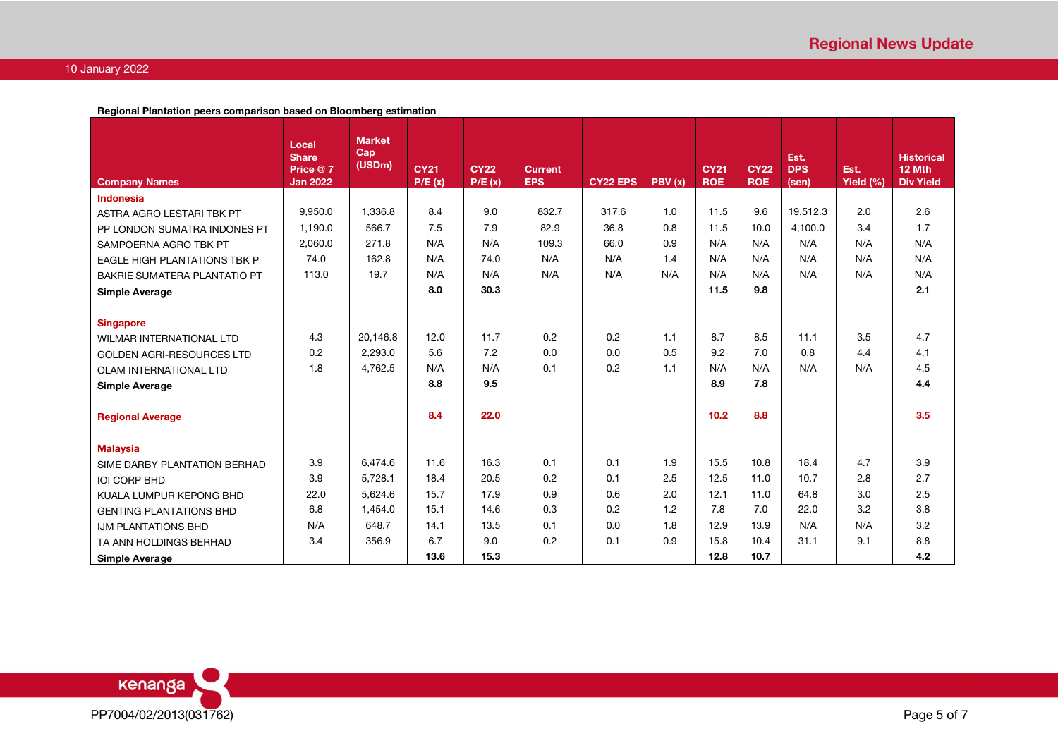**Regional Plantation peers comparison based on Bloomberg estimation**

|                                     | Local<br><b>Share</b>       | <b>Market</b><br>Cap |                       |                       |                              |                 |        |                           |                           | Est.                |                   | <b>Historical</b>          |
|-------------------------------------|-----------------------------|----------------------|-----------------------|-----------------------|------------------------------|-----------------|--------|---------------------------|---------------------------|---------------------|-------------------|----------------------------|
| <b>Company Names</b>                | Price @7<br><b>Jan 2022</b> | (USDm)               | <b>CY21</b><br>P/E(x) | <b>CY22</b><br>P/E(x) | <b>Current</b><br><b>EPS</b> | <b>CY22 EPS</b> | PBV(x) | <b>CY21</b><br><b>ROE</b> | <b>CY22</b><br><b>ROE</b> | <b>DPS</b><br>(sen) | Est.<br>Yield (%) | 12 Mth<br><b>Div Yield</b> |
| Indonesia                           |                             |                      |                       |                       |                              |                 |        |                           |                           |                     |                   |                            |
| ASTRA AGRO LESTARI TBK PT           | 9,950.0                     | 1.336.8              | 8.4                   | 9.0                   | 832.7                        | 317.6           | 1.0    | 11.5                      | 9.6                       | 19.512.3            | 2.0               | 2.6                        |
| PP LONDON SUMATRA INDONES PT        | 1,190.0                     | 566.7                | 7.5                   | 7.9                   | 82.9                         | 36.8            | 0.8    | 11.5                      | 10.0                      | 4,100.0             | 3.4               | 1.7                        |
| SAMPOERNA AGRO TBK PT               | 2,060.0                     | 271.8                | N/A                   | N/A                   | 109.3                        | 66.0            | 0.9    | N/A                       | N/A                       | N/A                 | N/A               | N/A                        |
| <b>EAGLE HIGH PLANTATIONS TBK P</b> | 74.0                        | 162.8                | N/A                   | 74.0                  | N/A                          | N/A             | 1.4    | N/A                       | N/A                       | N/A                 | N/A               | N/A                        |
| <b>BAKRIE SUMATERA PLANTATIO PT</b> | 113.0                       | 19.7                 | N/A                   | N/A                   | N/A                          | N/A             | N/A    | N/A                       | N/A                       | N/A                 | N/A               | N/A                        |
| <b>Simple Average</b>               |                             |                      | 8.0                   | 30.3                  |                              |                 |        | 11.5                      | 9.8                       |                     |                   | 2.1                        |
|                                     |                             |                      |                       |                       |                              |                 |        |                           |                           |                     |                   |                            |
| <b>Singapore</b>                    |                             |                      |                       |                       |                              |                 |        |                           |                           |                     |                   |                            |
| <b>WILMAR INTERNATIONAL LTD</b>     | 4.3                         | 20.146.8             | 12.0                  | 11.7                  | 0.2                          | 0.2             | 1.1    | 8.7                       | 8.5                       | 11.1                | 3.5               | 4.7                        |
| <b>GOLDEN AGRI-RESOURCES LTD</b>    | 0.2                         | 2,293.0              | 5.6                   | 7.2                   | 0.0                          | 0.0             | 0.5    | 9.2                       | 7.0                       | 0.8                 | 4.4               | 4.1                        |
| OLAM INTERNATIONAL LTD              | 1.8                         | 4,762.5              | N/A                   | N/A                   | 0.1                          | 0.2             | 1.1    | N/A                       | N/A                       | N/A                 | N/A               | 4.5                        |
| <b>Simple Average</b>               |                             |                      | 8.8                   | 9.5                   |                              |                 |        | 8.9                       | 7.8                       |                     |                   | 4.4                        |
|                                     |                             |                      |                       |                       |                              |                 |        |                           |                           |                     |                   |                            |
| <b>Regional Average</b>             |                             |                      | 8.4                   | 22.0                  |                              |                 |        | 10.2                      | 8.8                       |                     |                   | 3.5                        |
| <b>Malaysia</b>                     |                             |                      |                       |                       |                              |                 |        |                           |                           |                     |                   |                            |
| SIME DARBY PLANTATION BERHAD        | 3.9                         | 6,474.6              | 11.6                  | 16.3                  | 0.1                          | 0.1             | 1.9    | 15.5                      | 10.8                      | 18.4                | 4.7               | 3.9                        |
| <b>IOI CORP BHD</b>                 | 3.9                         | 5,728.1              | 18.4                  | 20.5                  | 0.2                          | 0.1             | 2.5    | 12.5                      | 11.0                      | 10.7                | 2.8               | 2.7                        |
| KUALA LUMPUR KEPONG BHD             | 22.0                        | 5,624.6              | 15.7                  | 17.9                  | 0.9                          | 0.6             | 2.0    | 12.1                      | 11.0                      | 64.8                | 3.0               | 2.5                        |
| <b>GENTING PLANTATIONS BHD</b>      | 6.8                         | 1,454.0              | 15.1                  | 14.6                  | 0.3                          | 0.2             | 1.2    | 7.8                       | 7.0                       | 22.0                | 3.2               | 3.8                        |
| <b>IJM PLANTATIONS BHD</b>          | N/A                         | 648.7                | 14.1                  | 13.5                  | 0.1                          | 0.0             | 1.8    | 12.9                      | 13.9                      | N/A                 | N/A               | 3.2                        |
| TA ANN HOLDINGS BERHAD              | 3.4                         | 356.9                | 6.7                   | 9.0                   | 0.2                          | 0.1             | 0.9    | 15.8                      | 10.4                      | 31.1                | 9.1               | 8.8                        |
| <b>Simple Average</b>               |                             |                      | 13.6                  | 15.3                  |                              |                 |        | 12.8                      | 10.7                      |                     |                   | 4.2                        |

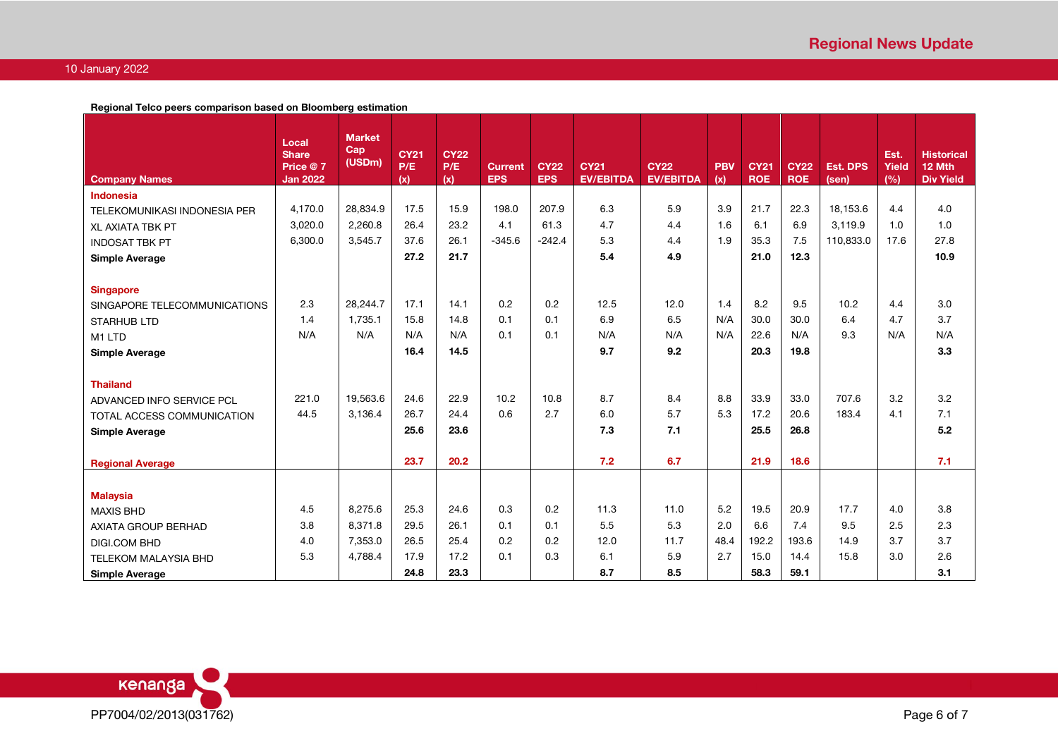**Regional Telco peers comparison based on Bloomberg estimation**

|                              | Local                    | <b>Market</b> |                    |                    |                |             |                  |                  |            |             |             |                 |               |                             |
|------------------------------|--------------------------|---------------|--------------------|--------------------|----------------|-------------|------------------|------------------|------------|-------------|-------------|-----------------|---------------|-----------------------------|
|                              | <b>Share</b><br>Price @7 | Cap<br>(USDm) | <b>CY21</b><br>P/E | <b>CY22</b><br>P/E | <b>Current</b> | <b>CY22</b> | <b>CY21</b>      | <b>CY22</b>      | <b>PBV</b> | <b>CY21</b> | <b>CY22</b> | <b>Est. DPS</b> | Est.<br>Yield | <b>Historical</b><br>12 Mth |
| <b>Company Names</b>         | <b>Jan 2022</b>          |               | (x)                | (x)                | <b>EPS</b>     | <b>EPS</b>  | <b>EV/EBITDA</b> | <b>EV/EBITDA</b> | (x)        | <b>ROE</b>  | <b>ROE</b>  | (sen)           | (%)           | <b>Div Yield</b>            |
| Indonesia                    |                          |               |                    |                    |                |             |                  |                  |            |             |             |                 |               |                             |
| TELEKOMUNIKASI INDONESIA PER | 4,170.0                  | 28,834.9      | 17.5               | 15.9               | 198.0          | 207.9       | 6.3              | 5.9              | 3.9        | 21.7        | 22.3        | 18.153.6        | 4.4           | 4.0                         |
| <b>XL AXIATA TBK PT</b>      | 3,020.0                  | 2,260.8       | 26.4               | 23.2               | 4.1            | 61.3        | 4.7              | 4.4              | 1.6        | 6.1         | 6.9         | 3.119.9         | 1.0           | 1.0                         |
| <b>INDOSAT TBK PT</b>        | 6,300.0                  | 3.545.7       | 37.6               | 26.1               | $-345.6$       | $-242.4$    | 5.3              | 4.4              | 1.9        | 35.3        | 7.5         | 110.833.0       | 17.6          | 27.8                        |
| <b>Simple Average</b>        |                          |               | 27.2               | 21.7               |                |             | 5.4              | 4.9              |            | 21.0        | 12.3        |                 |               | 10.9                        |
|                              |                          |               |                    |                    |                |             |                  |                  |            |             |             |                 |               |                             |
| <b>Singapore</b>             |                          |               |                    |                    |                |             |                  |                  |            |             |             |                 |               |                             |
| SINGAPORE TELECOMMUNICATIONS | 2.3                      | 28,244.7      | 17.1               | 14.1               | 0.2            | 0.2         | 12.5             | 12.0             | 1.4        | 8.2         | 9.5         | 10.2            | 4.4           | 3.0                         |
| <b>STARHUB LTD</b>           | 1.4                      | 1,735.1       | 15.8               | 14.8               | 0.1            | 0.1         | 6.9              | 6.5              | N/A        | 30.0        | 30.0        | 6.4             | 4.7           | 3.7                         |
| M1 LTD                       | N/A                      | N/A           | N/A                | N/A                | 0.1            | 0.1         | N/A              | N/A              | N/A        | 22.6        | N/A         | 9.3             | N/A           | N/A                         |
| <b>Simple Average</b>        |                          |               | 16.4               | 14.5               |                |             | 9.7              | 9.2              |            | 20.3        | 19.8        |                 |               | 3.3                         |
|                              |                          |               |                    |                    |                |             |                  |                  |            |             |             |                 |               |                             |
| <b>Thailand</b>              |                          |               |                    |                    |                |             |                  |                  |            |             |             |                 |               |                             |
| ADVANCED INFO SERVICE PCL    | 221.0                    | 19.563.6      | 24.6               | 22.9               | 10.2           | 10.8        | 8.7              | 8.4              | 8.8        | 33.9        | 33.0        | 707.6           | 3.2           | 3.2                         |
| TOTAL ACCESS COMMUNICATION   | 44.5                     | 3.136.4       | 26.7               | 24.4               | 0.6            | 2.7         | 6.0              | 5.7              | 5.3        | 17.2        | 20.6        | 183.4           | 4.1           | 7.1                         |
| <b>Simple Average</b>        |                          |               | 25.6               | 23.6               |                |             | 7.3              | 7.1              |            | 25.5        | 26.8        |                 |               | 5.2                         |
|                              |                          |               |                    |                    |                |             |                  |                  |            |             |             |                 |               |                             |
| <b>Regional Average</b>      |                          |               | 23.7               | 20.2               |                |             | 7.2              | 6.7              |            | 21.9        | 18.6        |                 |               | 7.1                         |
|                              |                          |               |                    |                    |                |             |                  |                  |            |             |             |                 |               |                             |
| <b>Malaysia</b>              |                          |               |                    |                    |                |             |                  |                  |            |             |             |                 |               |                             |
| <b>MAXIS BHD</b>             | 4.5                      | 8.275.6       | 25.3               | 24.6               | 0.3            | 0.2         | 11.3             | 11.0             | 5.2        | 19.5        | 20.9        | 17.7            | 4.0           | 3.8                         |
| AXIATA GROUP BERHAD          | 3.8                      | 8.371.8       | 29.5               | 26.1               | 0.1            | 0.1         | 5.5              | 5.3              | 2.0        | 6.6         | 7.4         | 9.5             | 2.5           | 2.3                         |
| <b>DIGI.COM BHD</b>          | 4.0                      | 7,353.0       | 26.5               | 25.4               | 0.2            | 0.2         | 12.0             | 11.7             | 48.4       | 192.2       | 193.6       | 14.9            | 3.7           | 3.7                         |
| <b>TELEKOM MALAYSIA BHD</b>  | 5.3                      | 4,788.4       | 17.9               | 17.2               | 0.1            | 0.3         | 6.1              | 5.9              | 2.7        | 15.0        | 14.4        | 15.8            | 3.0           | 2.6                         |
| <b>Simple Average</b>        |                          |               | 24.8               | 23.3               |                |             | 8.7              | 8.5              |            | 58.3        | 59.1        |                 |               | 3.1                         |